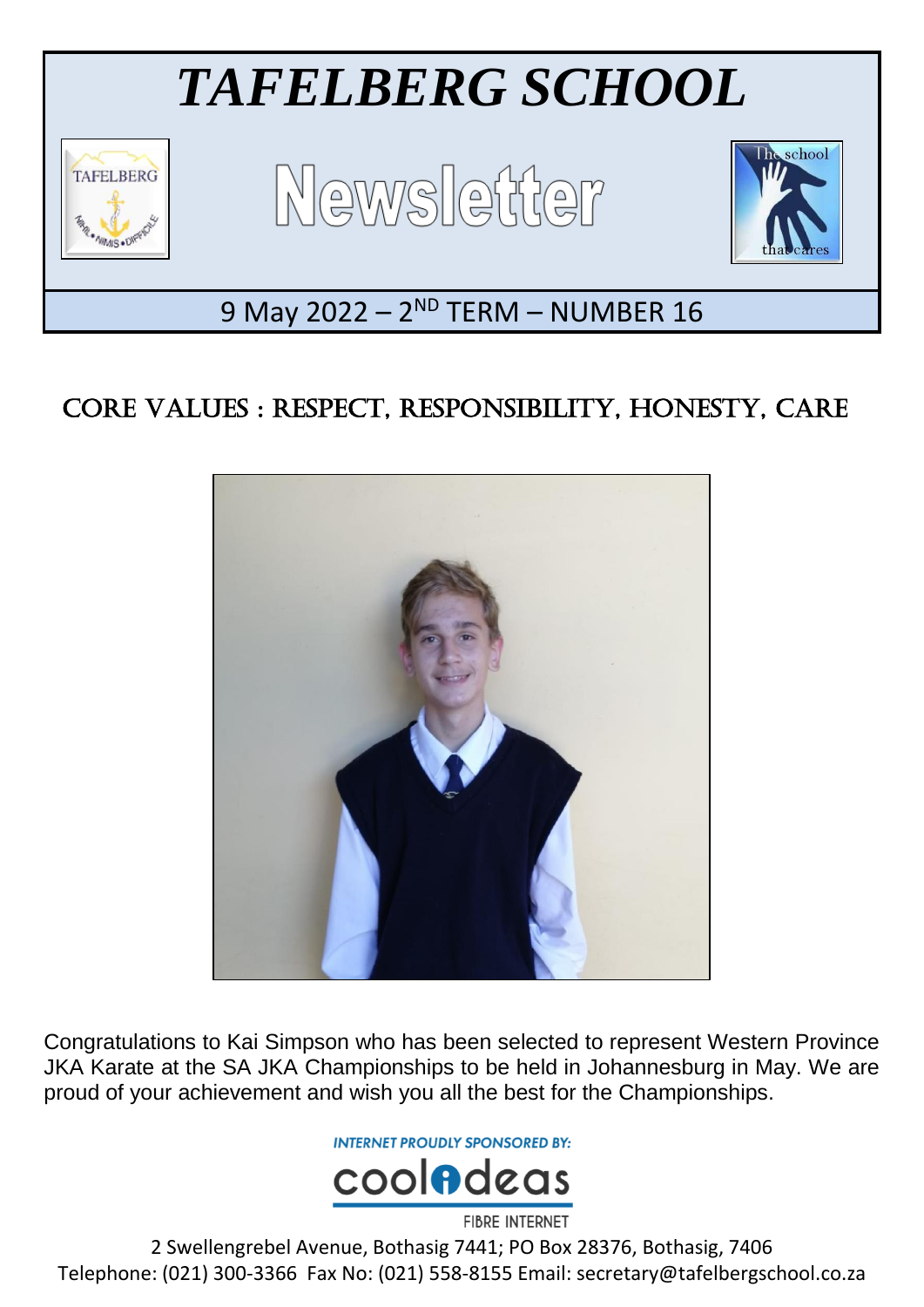

## CORE VALUES : RESPECT, RESPONSIBILITY, HONESTY, CARE



Congratulations to Kai Simpson who has been selected to represent Western Province JKA Karate at the SA JKA Championships to be held in Johannesburg in May. We are proud of your achievement and wish you all the best for the Championships.

**INTERNET PROUDLY SPONSORED BY:** 



2 Swellengrebel Avenue, Bothasig 7441; PO Box 28376, Bothasig, 7406 Telephone: (021) 300-3366 Fax No: (021) 558-8155 Email: secretary@tafelbergschool.co.za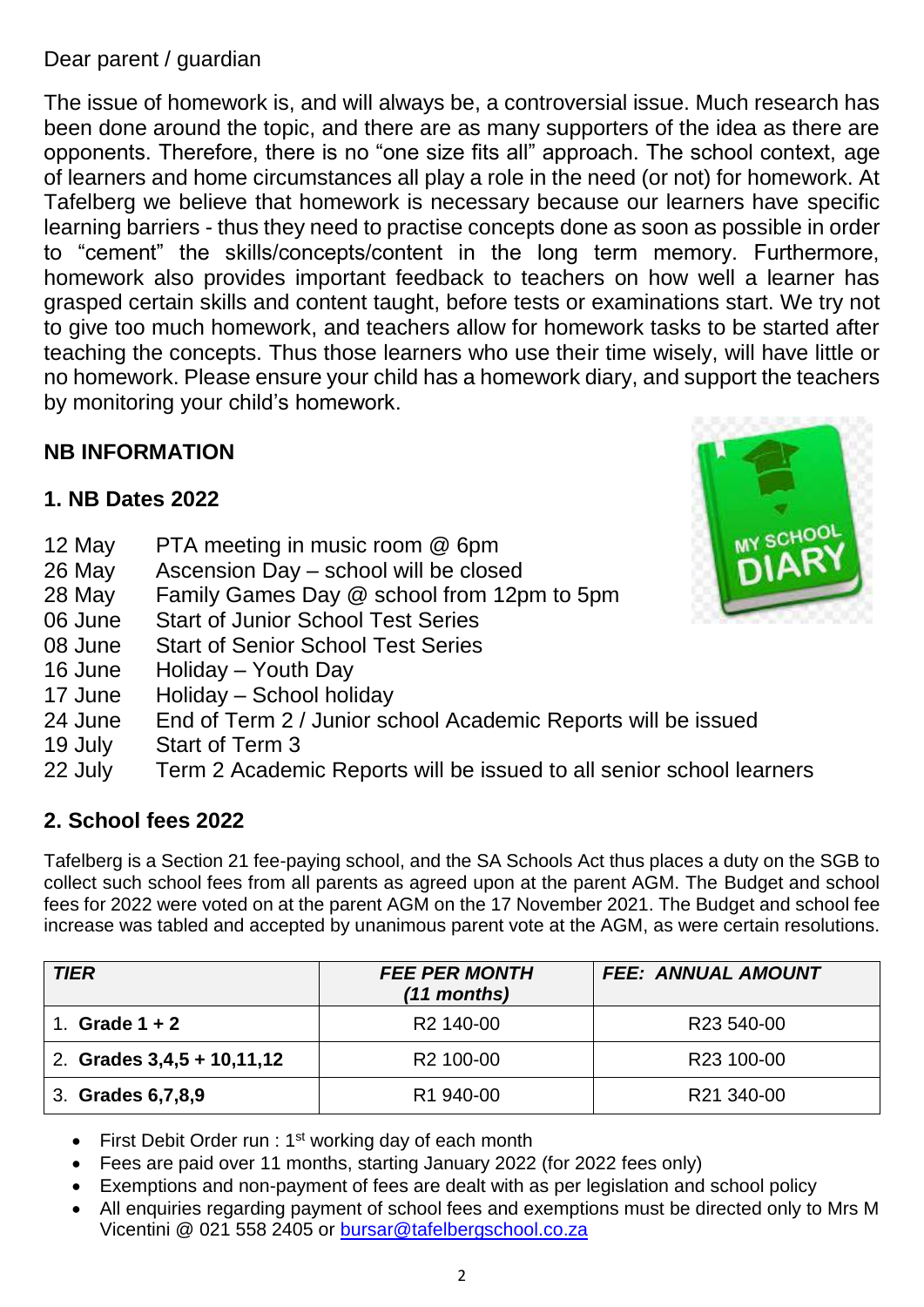#### Dear parent / guardian

The issue of homework is, and will always be, a controversial issue. Much research has been done around the topic, and there are as many supporters of the idea as there are opponents. Therefore, there is no "one size fits all" approach. The school context, age of learners and home circumstances all play a role in the need (or not) for homework. At Tafelberg we believe that homework is necessary because our learners have specific learning barriers - thus they need to practise concepts done as soon as possible in order to "cement" the skills/concepts/content in the long term memory. Furthermore, homework also provides important feedback to teachers on how well a learner has grasped certain skills and content taught, before tests or examinations start. We try not to give too much homework, and teachers allow for homework tasks to be started after teaching the concepts. Thus those learners who use their time wisely, will have little or no homework. Please ensure your child has a homework diary, and support the teachers by monitoring your child's homework.

#### **NB INFORMATION**

#### **1. NB Dates 2022**

- 12 May PTA meeting in music room @ 6pm
- 26 May Ascension Day school will be closed
- 28 May Family Games Day @ school from 12pm to 5pm
- 06 June Start of Junior School Test Series
- 08 June Start of Senior School Test Series
- 16 June Holiday Youth Day
- 17 June Holiday School holiday
- 24 June End of Term 2 / Junior school Academic Reports will be issued
- 19 July Start of Term 3
- 22 July Term 2 Academic Reports will be issued to all senior school learners

#### **2. School fees 2022**

Tafelberg is a Section 21 fee-paying school, and the SA Schools Act thus places a duty on the SGB to collect such school fees from all parents as agreed upon at the parent AGM. The Budget and school fees for 2022 were voted on at the parent AGM on the 17 November 2021. The Budget and school fee increase was tabled and accepted by unanimous parent vote at the AGM, as were certain resolutions.

| <b>TIER</b>                  | <b>FEE PER MONTH</b><br>$(11$ months) | <b>FEE: ANNUAL AMOUNT</b> |
|------------------------------|---------------------------------------|---------------------------|
| Grade $1 + 2$                | R <sub>2</sub> 140-00                 | R <sub>23</sub> 540-00    |
| 2. Grades $3,4,5 + 10,11,12$ | R <sub>2</sub> 100-00                 | R <sub>23</sub> 100-00    |
| 3. Grades 6, 7, 8, 9         | R <sub>1</sub> 940-00                 | R21 340-00                |

- First Debit Order run :  $1<sup>st</sup>$  working day of each month
- Fees are paid over 11 months, starting January 2022 (for 2022 fees only)
- Exemptions and non-payment of fees are dealt with as per legislation and school policy
- All enquiries regarding payment of school fees and exemptions must be directed only to Mrs M Vicentini @ 021 558 2405 or [bursar@tafelbergschool.co.za](mailto:bursar@tafelbergschool.co.za)

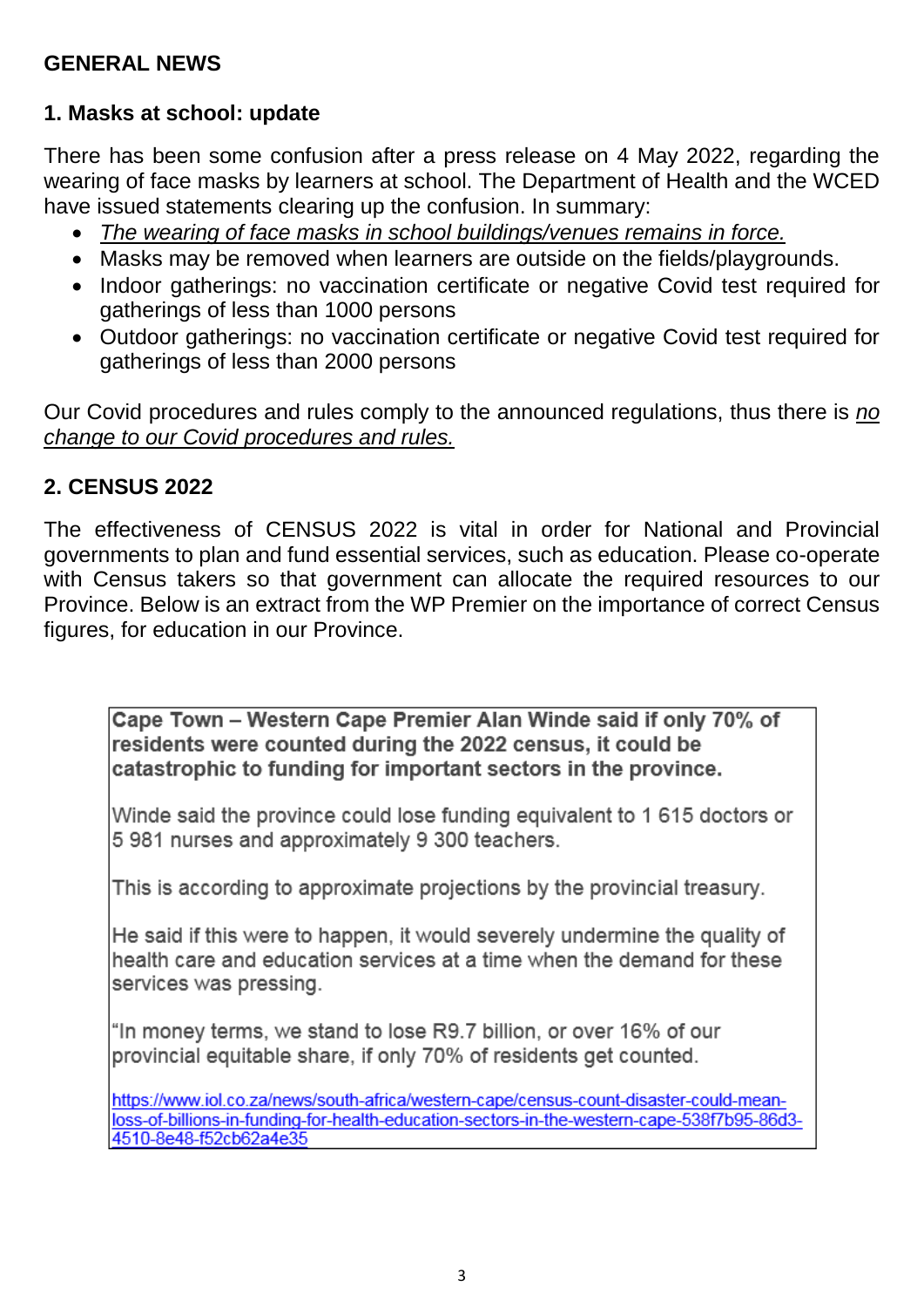#### **GENERAL NEWS**

#### **1. Masks at school: update**

There has been some confusion after a press release on 4 May 2022, regarding the wearing of face masks by learners at school. The Department of Health and the WCED have issued statements clearing up the confusion. In summary:

- *The wearing of face masks in school buildings/venues remains in force.*
- Masks may be removed when learners are outside on the fields/playgrounds.
- Indoor gatherings: no vaccination certificate or negative Covid test required for gatherings of less than 1000 persons
- Outdoor gatherings: no vaccination certificate or negative Covid test required for gatherings of less than 2000 persons

Our Covid procedures and rules comply to the announced regulations, thus there is *no change to our Covid procedures and rules.*

#### **2. CENSUS 2022**

The effectiveness of CENSUS 2022 is vital in order for National and Provincial governments to plan and fund essential services, such as education. Please co-operate with Census takers so that government can allocate the required resources to our Province. Below is an extract from the WP Premier on the importance of correct Census figures, for education in our Province.

Cape Town - Western Cape Premier Alan Winde said if only 70% of residents were counted during the 2022 census, it could be catastrophic to funding for important sectors in the province.

Winde said the province could lose funding equivalent to 1 615 doctors or 5 981 nurses and approximately 9 300 teachers.

This is according to approximate projections by the provincial treasury.

He said if this were to happen, it would severely undermine the quality of health care and education services at a time when the demand for these services was pressing.

"In money terms, we stand to lose R9.7 billion, or over 16% of our provincial equitable share, if only 70% of residents get counted.

https://www.iol.co.za/news/south-africa/western-cape/census-count-disaster-could-meanloss-of-billions-in-funding-for-health-education-sectors-in-the-western-cape-538f7b95-86d3-4510-8e48-f52cb62a4e35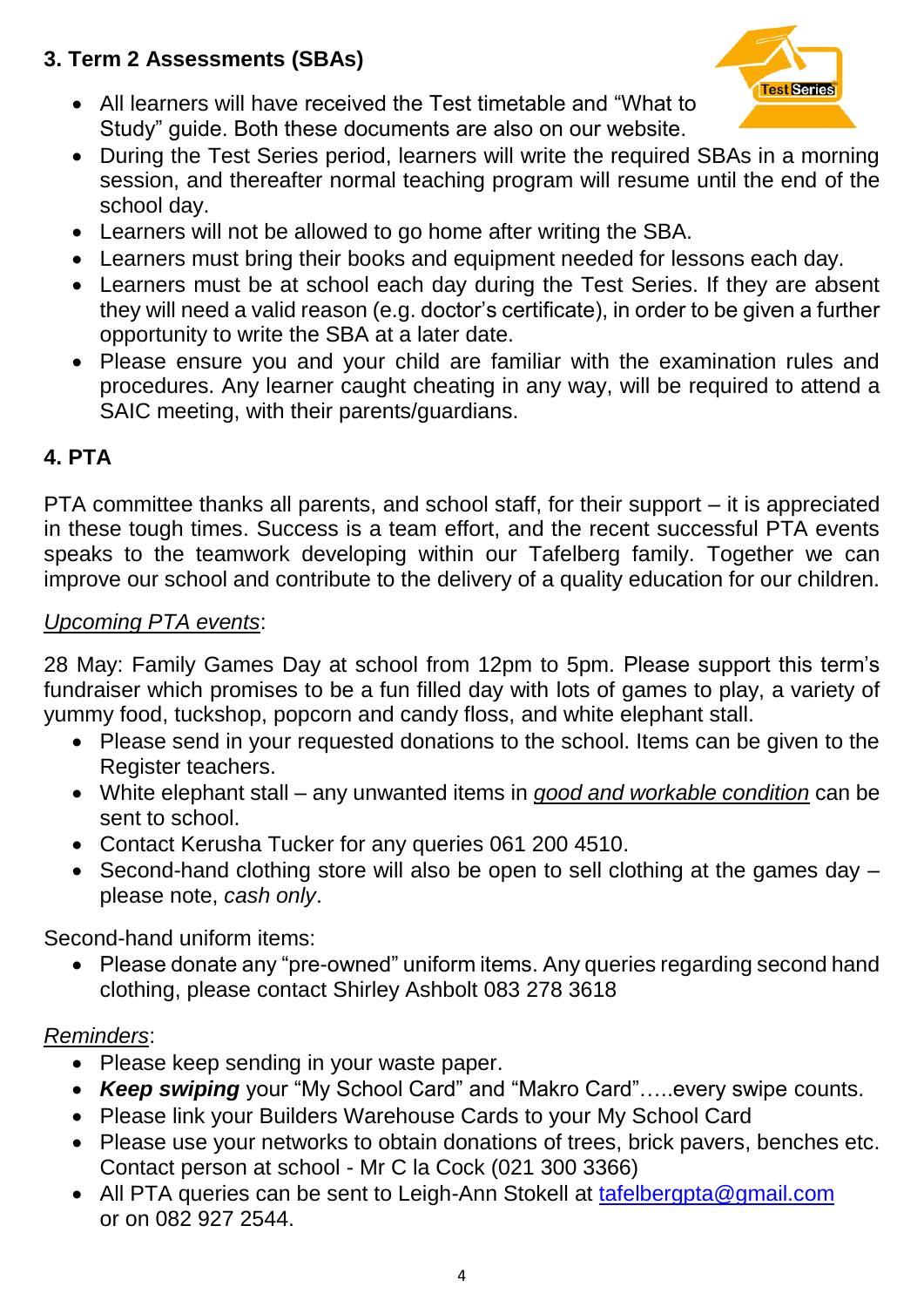## **3. Term 2 Assessments (SBAs)**

 All learners will have received the Test timetable and "What to Study" guide. Both these documents are also on our website.



- During the Test Series period, learners will write the required SBAs in a morning session, and thereafter normal teaching program will resume until the end of the school day.
- Learners will not be allowed to go home after writing the SBA.
- Learners must bring their books and equipment needed for lessons each day.
- Learners must be at school each day during the Test Series. If they are absent they will need a valid reason (e.g. doctor's certificate), in order to be given a further opportunity to write the SBA at a later date.
- Please ensure you and your child are familiar with the examination rules and procedures. Any learner caught cheating in any way, will be required to attend a SAIC meeting, with their parents/guardians.

#### **4. PTA**

PTA committee thanks all parents, and school staff, for their support – it is appreciated in these tough times. Success is a team effort, and the recent successful PTA events speaks to the teamwork developing within our Tafelberg family. Together we can improve our school and contribute to the delivery of a quality education for our children.

#### *Upcoming PTA events*:

28 May: Family Games Day at school from 12pm to 5pm. Please support this term's fundraiser which promises to be a fun filled day with lots of games to play, a variety of yummy food, tuckshop, popcorn and candy floss, and white elephant stall.

- Please send in your requested donations to the school. Items can be given to the Register teachers.
- White elephant stall any unwanted items in *good and workable condition* can be sent to school.
- Contact Kerusha Tucker for any queries 061 200 4510.
- Second-hand clothing store will also be open to sell clothing at the games day please note, *cash only*.

Second-hand uniform items:

• Please donate any "pre-owned" uniform items. Any queries regarding second hand clothing, please contact Shirley Ashbolt 083 278 3618

#### *Reminders*:

- Please keep sending in your waste paper.
- *Keep swiping* your "My School Card" and "Makro Card"…..every swipe counts.
- Please link your Builders Warehouse Cards to your My School Card
- Please use your networks to obtain donations of trees, brick pavers, benches etc. Contact person at school - Mr C la Cock (021 300 3366)
- All PTA queries can be sent to Leigh-Ann Stokell at [tafelbergpta@gmail.com](mailto:tafelbergpta@gmail.com) or on 082 927 2544.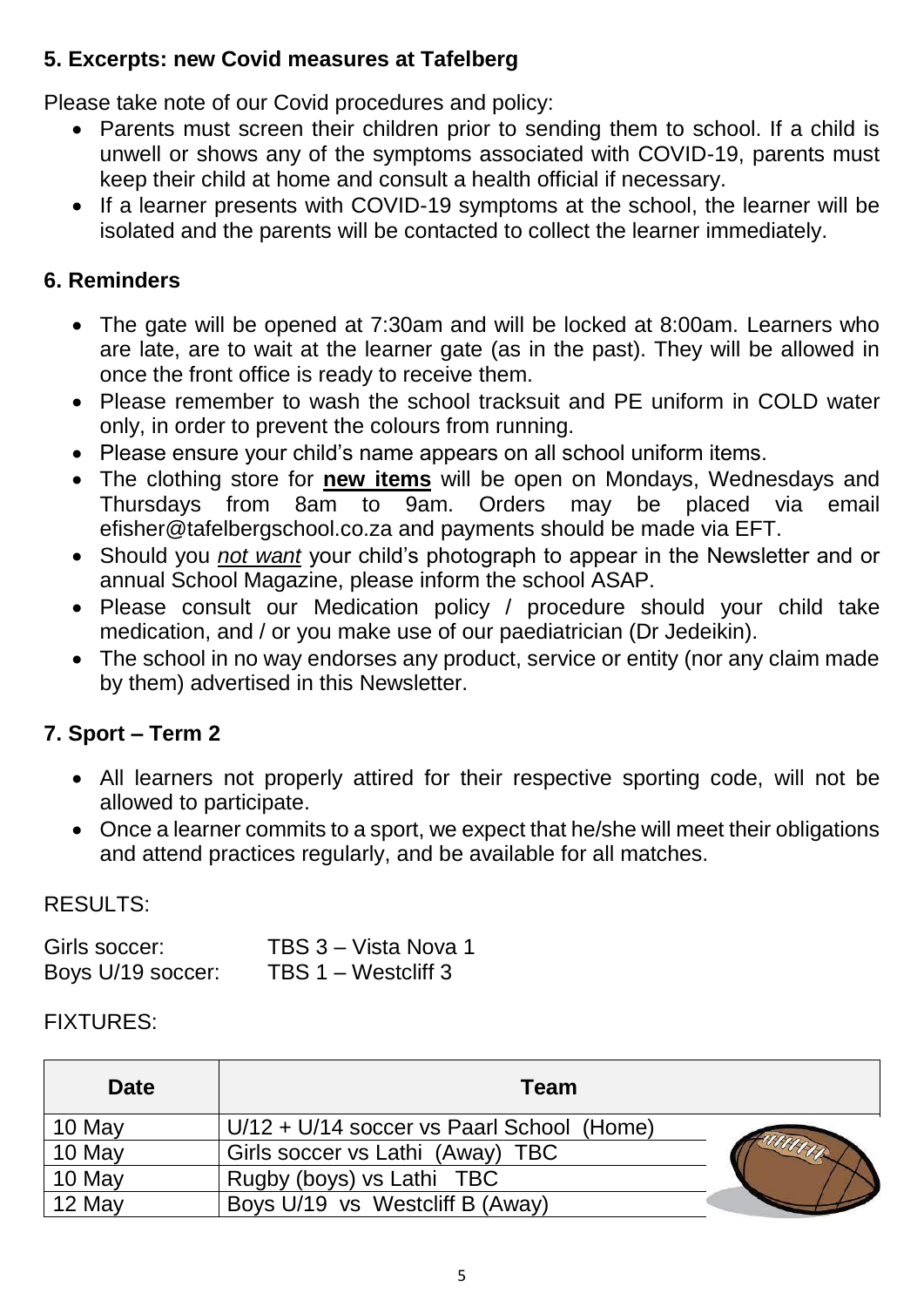### **5. Excerpts: new Covid measures at Tafelberg**

Please take note of our Covid procedures and policy:

- Parents must screen their children prior to sending them to school. If a child is unwell or shows any of the symptoms associated with COVID-19, parents must keep their child at home and consult a health official if necessary.
- If a learner presents with COVID-19 symptoms at the school, the learner will be isolated and the parents will be contacted to collect the learner immediately.

### **6. Reminders**

- The gate will be opened at 7:30am and will be locked at 8:00am. Learners who are late, are to wait at the learner gate (as in the past). They will be allowed in once the front office is ready to receive them.
- Please remember to wash the school tracksuit and PE uniform in COLD water only, in order to prevent the colours from running.
- Please ensure your child's name appears on all school uniform items.
- The clothing store for **new items** will be open on Mondays, Wednesdays and Thursdays from 8am to 9am. Orders may be placed via email efisher@tafelbergschool.co.za and payments should be made via EFT.
- Should you *not want* your child's photograph to appear in the Newsletter and or annual School Magazine, please inform the school ASAP.
- Please consult our Medication policy / procedure should your child take medication, and / or you make use of our paediatrician (Dr Jedeikin).
- The school in no way endorses any product, service or entity (nor any claim made by them) advertised in this Newsletter.

## **7. Sport – Term 2**

- All learners not properly attired for their respective sporting code, will not be allowed to participate.
- Once a learner commits to a sport, we expect that he/she will meet their obligations and attend practices regularly, and be available for all matches.

#### RESULTS:

| Girls soccer:     | TBS 3 - Vista Nova 1 |
|-------------------|----------------------|
| Boys U/19 soccer: | TBS 1 – Westcliff 3  |

#### FIXTURES:

| <b>Date</b> | <b>Team</b>                                 |  |
|-------------|---------------------------------------------|--|
| 10 May      | $U/12 + U/14$ soccer vs Paarl School (Home) |  |
| 10 May      | Girls soccer vs Lathi (Away) TBC            |  |
| 10 May      | Rugby (boys) vs Lathi TBC                   |  |
| 12 May      | Boys U/19 vs Westcliff B (Away)             |  |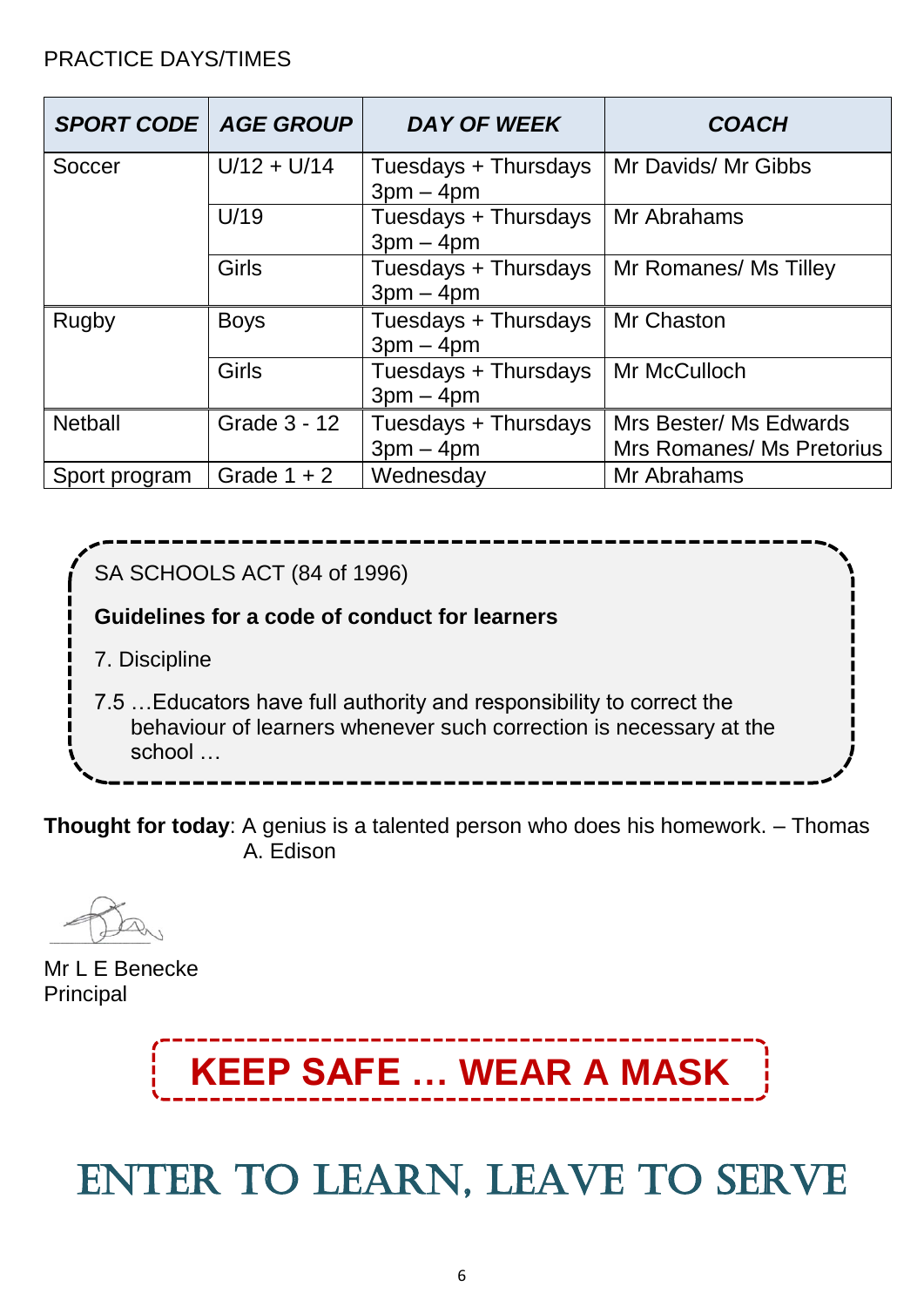#### PRACTICE DAYS/TIMES

| <b>SPORT CODE   AGE GROUP</b> |               | <b>DAY OF WEEK</b>                  | <b>COACH</b>                                        |
|-------------------------------|---------------|-------------------------------------|-----------------------------------------------------|
| Soccer                        | $U/12 + U/14$ | Tuesdays + Thursdays<br>$3pm - 4pm$ | Mr Davids/ Mr Gibbs                                 |
|                               | U/19          | Tuesdays + Thursdays<br>$3pm - 4pm$ | Mr Abrahams                                         |
|                               | <b>Girls</b>  | Tuesdays + Thursdays<br>$3pm - 4pm$ | Mr Romanes/ Ms Tilley                               |
| Rugby                         | <b>Boys</b>   | Tuesdays + Thursdays<br>$3pm - 4pm$ | Mr Chaston                                          |
|                               | Girls         | Tuesdays + Thursdays<br>$3pm - 4pm$ | Mr McCulloch                                        |
| <b>Netball</b>                | Grade 3 - 12  | Tuesdays + Thursdays<br>$3pm - 4pm$ | Mrs Bester/ Ms Edwards<br>Mrs Romanes/ Ms Pretorius |
| Sport program                 | Grade $1 + 2$ | Wednesdav                           | Mr Abrahams                                         |



**Thought for today**: A genius is a talented person who does his homework. – Thomas  [A. Edison](https://en.wikipedia.org/wiki/Thomas_Edison)

Mr L E Benecke Principal



# ENTER TO LEARN, LEAVE TO SERVE